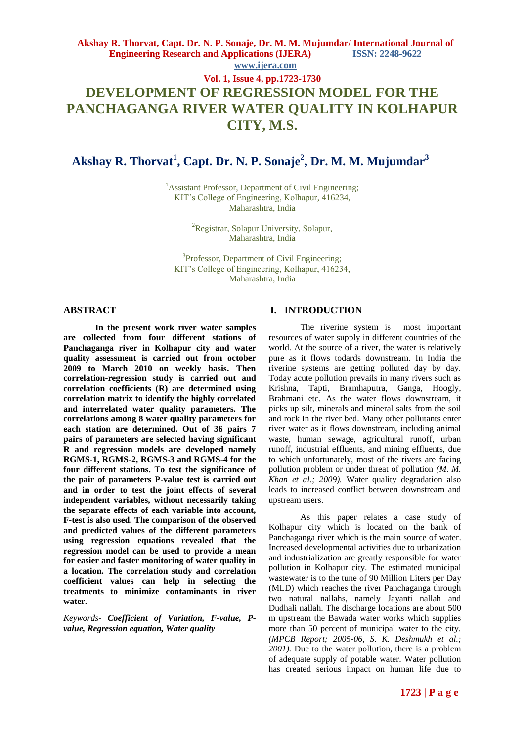# **Akshay R. Thorvat, Capt. Dr. N. P. Sonaje, Dr. M. M. Mujumdar/ International Journal of Engineering Research and Applications (IJERA) ISSN: 2248-9622 www.ijera.com Vol. 1, Issue 4, pp.1723-1730 DEVELOPMENT OF REGRESSION MODEL FOR THE PANCHAGANGA RIVER WATER QUALITY IN KOLHAPUR CITY, M.S.**

# **Akshay R. Thorvat<sup>1</sup> , Capt. Dr. N. P. Sonaje<sup>2</sup> , Dr. M. M. Mujumdar<sup>3</sup>**

<sup>1</sup>Assistant Professor, Department of Civil Engineering; KIT"s College of Engineering, Kolhapur, 416234, Maharashtra, India

> <sup>2</sup>Registrar, Solapur University, Solapur, Maharashtra, India

<sup>3</sup>Professor, Department of Civil Engineering; KIT"s College of Engineering, Kolhapur, 416234, Maharashtra, India

### **ABSTRACT**

**In the present work river water samples are collected from four different stations of Panchaganga river in Kolhapur city and water quality assessment is carried out from october 2009 to March 2010 on weekly basis. Then correlation-regression study is carried out and correlation coefficients (R) are determined using correlation matrix to identify the highly correlated and interrelated water quality parameters. The correlations among 8 water quality parameters for each station are determined. Out of 36 pairs 7 pairs of parameters are selected having significant R and regression models are developed namely RGMS-1, RGMS-2, RGMS-3 and RGMS-4 for the four different stations. To test the significance of the pair of parameters P-value test is carried out and in order to test the joint effects of several independent variables, without necessarily taking the separate effects of each variable into account, F-test is also used. The comparison of the observed and predicted values of the different parameters using regression equations revealed that the regression model can be used to provide a mean for easier and faster monitoring of water quality in a location. The correlation study and correlation coefficient values can help in selecting the treatments to minimize contaminants in river water.**

*Keywords- Coefficient of Variation, F-value, Pvalue, Regression equation, Water quality*

# **I. INTRODUCTION**

The riverine system is most important resources of water supply in different countries of the world. At the source of a river, the water is relatively pure as it flows todards downstream. In India the riverine systems are getting polluted day by day. Today acute pollution prevails in many rivers such as Krishna, Tapti, Bramhaputra, Ganga, Hoogly, Brahmani etc. As the water flows downstream, it picks up silt, minerals and mineral salts from the soil and rock in the river bed. Many other pollutants enter river water as it flows downstream, including animal waste, human sewage, agricultural runoff, urban runoff, industrial effluents, and mining effluents, due to which unfortunately, most of the rivers are facing pollution problem or under threat of pollution *(M. M. Khan et al.; 2009).* Water quality degradation also leads to increased conflict between downstream and upstream users.

As this paper relates a case study of Kolhapur city which is located on the bank of Panchaganga river which is the main source of water. Increased developmental activities due to urbanization and industrialization are greatly responsible for water pollution in Kolhapur city. The estimated municipal wastewater is to the tune of 90 Million Liters per Day (MLD) which reaches the river Panchaganga through two natural nallahs, namely Jayanti nallah and Dudhali nallah. The discharge locations are about 500 m upstream the Bawada water works which supplies more than 50 percent of municipal water to the city. *(MPCB Report; 2005-06, S. K. Deshmukh et al.; 2001).* Due to the water pollution, there is a problem of adequate supply of potable water. Water pollution has created serious impact on human life due to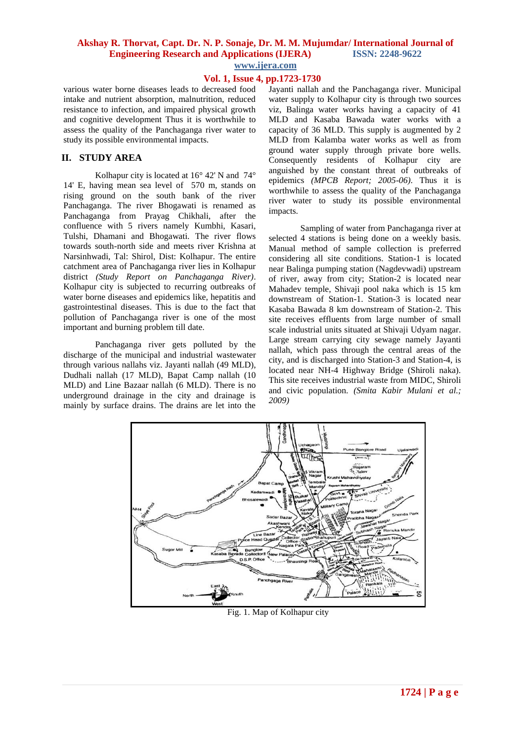# **Akshay R. Thorvat, Capt. Dr. N. P. Sonaje, Dr. M. M. Mujumdar/ International Journal of Engineering Research and Applications (IJERA) ISSN: 2248-9622**

**www.ijera.com**

# **Vol. 1, Issue 4, pp.1723-1730**

various water borne diseases leads to decreased food intake and nutrient absorption, malnutrition, reduced resistance to infection, and impaired physical growth and cognitive development Thus it is worthwhile to assess the quality of the Panchaganga river water to study its possible environmental impacts.

# **II. STUDY AREA**

Kolhapur city is located at 16° 42' N and 74° 14' E, having mean sea level of 570 m, stands on rising ground on the south bank of the river Panchaganga. The river Bhogawati is renamed as Panchaganga from Prayag Chikhali, after the confluence with 5 rivers namely Kumbhi, Kasari, Tulshi, Dhamani and Bhogawati. The river flows towards south-north side and meets river Krishna at Narsinhwadi, Tal: Shirol, Dist: Kolhapur. The entire catchment area of Panchaganga river lies in Kolhapur district *(Study Report on Panchaganga River)*. Kolhapur city is subjected to recurring outbreaks of water borne diseases and epidemics like, hepatitis and gastrointestinal diseases. This is due to the fact that pollution of Panchaganga river is one of the most important and burning problem till date.

Panchaganga river gets polluted by the discharge of the municipal and industrial wastewater through various nallahs viz. Jayanti nallah (49 MLD), Dudhali nallah (17 MLD), Bapat Camp nallah (10 MLD) and Line Bazaar nallah (6 MLD). There is no underground drainage in the city and drainage is mainly by surface drains. The drains are let into the

Jayanti nallah and the Panchaganga river. Municipal water supply to Kolhapur city is through two sources viz, Balinga water works having a capacity of 41 MLD and Kasaba Bawada water works with a capacity of 36 MLD. This supply is augmented by 2 MLD from Kalamba water works as well as from ground water supply through private bore wells. Consequently residents of Kolhapur city are anguished by the constant threat of outbreaks of epidemics *(MPCB Report; 2005-06)*. Thus it is worthwhile to assess the quality of the Panchaganga river water to study its possible environmental impacts.

Sampling of water from Panchaganga river at selected 4 stations is being done on a weekly basis. Manual method of sample collection is preferred considering all site conditions. Station-1 is located near Balinga pumping station (Nagdevwadi) upstream of river, away from city; Station-2 is located near Mahadev temple, Shivaji pool naka which is 15 km downstream of Station-1. Station-3 is located near Kasaba Bawada 8 km downstream of Station-2. This site receives effluents from large number of small scale industrial units situated at Shivaji Udyam nagar. Large stream carrying city sewage namely Jayanti nallah, which pass through the central areas of the city, and is discharged into Station-3 and Station-4, is located near NH-4 Highway Bridge (Shiroli naka). This site receives industrial waste from MIDC, Shiroli and civic population. *(Smita Kabir Mulani et al.; 2009)* 



Fig. 1. Map of Kolhapur city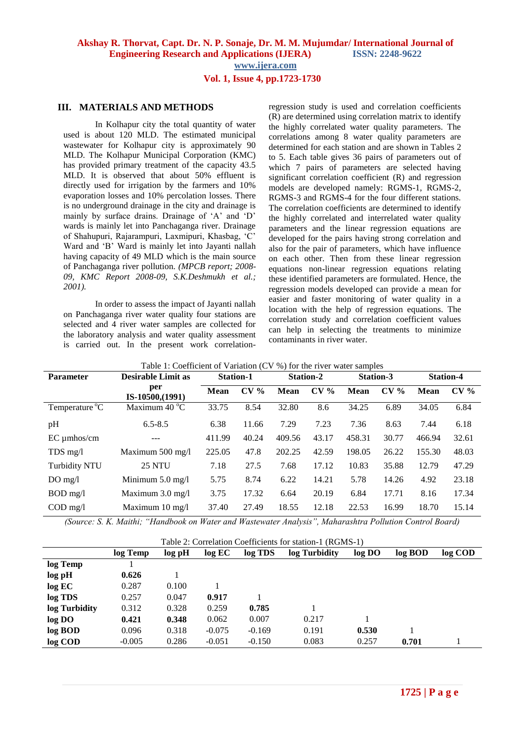# **Vol. 1, Issue 4, pp.1723-1730**

# **III. MATERIALS AND METHODS**

In Kolhapur city the total quantity of water used is about 120 MLD. The estimated municipal wastewater for Kolhapur city is approximately 90 MLD. The Kolhapur Municipal Corporation (KMC) has provided primary treatment of the capacity 43.5 MLD. It is observed that about 50% effluent is directly used for irrigation by the farmers and 10% evaporation losses and 10% percolation losses. There is no underground drainage in the city and drainage is mainly by surface drains. Drainage of 'A' and 'D' wards is mainly let into Panchaganga river. Drainage of Shahupuri, Rajarampuri, Laxmipuri, Khasbag, "C" Ward and "B" Ward is mainly let into Jayanti nallah having capacity of 49 MLD which is the main source of Panchaganga river pollution. *(MPCB report; 2008- 09, KMC Report 2008-09, S.K.Deshmukh et al.; 2001).*

In order to assess the impact of Jayanti nallah on Panchaganga river water quality four stations are selected and 4 river water samples are collected for the laboratory analysis and water quality assessment is carried out. In the present work correlationregression study is used and correlation coefficients (R) are determined using correlation matrix to identify the highly correlated water quality parameters. The correlations among 8 water quality parameters are determined for each station and are shown in Tables 2 to 5. Each table gives 36 pairs of parameters out of which 7 pairs of parameters are selected having significant correlation coefficient (R) and regression models are developed namely: RGMS-1, RGMS-2, RGMS-3 and RGMS-4 for the four different stations. The correlation coefficients are determined to identify the highly correlated and interrelated water quality parameters and the linear regression equations are developed for the pairs having strong correlation and also for the pair of parameters, which have influence on each other. Then from these linear regression equations non-linear regression equations relating these identified parameters are formulated. Hence, the regression models developed can provide a mean for easier and faster monitoring of water quality in a location with the help of regression equations. The correlation study and correlation coefficient values can help in selecting the treatments to minimize contaminants in river water.

| <b>Parameter</b>                 | <b>Desirable Limit as</b>  | <b>Station-1</b> |                 | <b>Station-2</b> |        | <b>Station-3</b> |                 | <b>Station-4</b> |        |
|----------------------------------|----------------------------|------------------|-----------------|------------------|--------|------------------|-----------------|------------------|--------|
|                                  | per<br>IS-10500, (1991)    | Mean             | CV <sub>0</sub> | Mean             | $CV\%$ | <b>Mean</b>      | CV <sub>0</sub> | <b>Mean</b>      | $CV\%$ |
| Temperature °C                   | Maximum $40^{\circ}$ C     | 33.75            | 8.54            | 32.80            | 8.6    | 34.25            | 6.89            | 34.05            | 6.84   |
| pH                               | $6.5 - 8.5$                | 6.38             | 11.66           | 7.29             | 7.23   | 7.36             | 8.63            | 7.44             | 6.18   |
| $EC$ umhos/cm                    |                            | 411.99           | 40.24           | 409.56           | 43.17  | 458.31           | 30.77           | 466.94           | 32.61  |
| $TDS$ mg/l                       | Maximum 500 mg/l           | 225.05           | 47.8            | 202.25           | 42.59  | 198.05           | 26.22           | 155.30           | 48.03  |
| <b>Turbidity NTU</b>             | <b>25 NTU</b>              | 7.18             | 27.5            | 7.68             | 17.12  | 10.83            | 35.88           | 12.79            | 47.29  |
| $DO$ mg/l                        | Minimum $5.0$ mg/l         | 5.75             | 8.74            | 6.22             | 14.21  | 5.78             | 14.26           | 4.92             | 23.18  |
| $BOD$ mg/l                       | Maximum $3.0 \text{ mg/l}$ | 3.75             | 17.32           | 6.64             | 20.19  | 6.84             | 17.71           | 8.16             | 17.34  |
| $\text{COD} \text{ mg}/\text{l}$ | Maximum $10 \text{ mg/l}$  | 37.40            | 27.49           | 18.55            | 12.18  | 22.53            | 16.99           | 18.70            | 15.14  |

*(Source: S. K. Maithi; "Handbook on Water and Wastewater Analysis", Maharashtra Pollution Control Board)*

| Table 2: Correlation Coefficients for station-1 (RGMS-1) |          |        |          |          |               |        |         |         |
|----------------------------------------------------------|----------|--------|----------|----------|---------------|--------|---------|---------|
|                                                          | log Temp | log pH | log EC   | log TDS  | log Turbidity | log DO | log BOD | log COD |
| log Temp                                                 |          |        |          |          |               |        |         |         |
| log pH                                                   | 0.626    |        |          |          |               |        |         |         |
| log EC                                                   | 0.287    | 0.100  |          |          |               |        |         |         |
| log TDS                                                  | 0.257    | 0.047  | 0.917    |          |               |        |         |         |
| log Turbidity                                            | 0.312    | 0.328  | 0.259    | 0.785    |               |        |         |         |
| log DO                                                   | 0.421    | 0.348  | 0.062    | 0.007    | 0.217         |        |         |         |
| log BOD                                                  | 0.096    | 0.318  | $-0.075$ | $-0.169$ | 0.191         | 0.530  |         |         |
| log COD                                                  | $-0.005$ | 0.286  | $-0.051$ | $-0.150$ | 0.083         | 0.257  | 0.701   |         |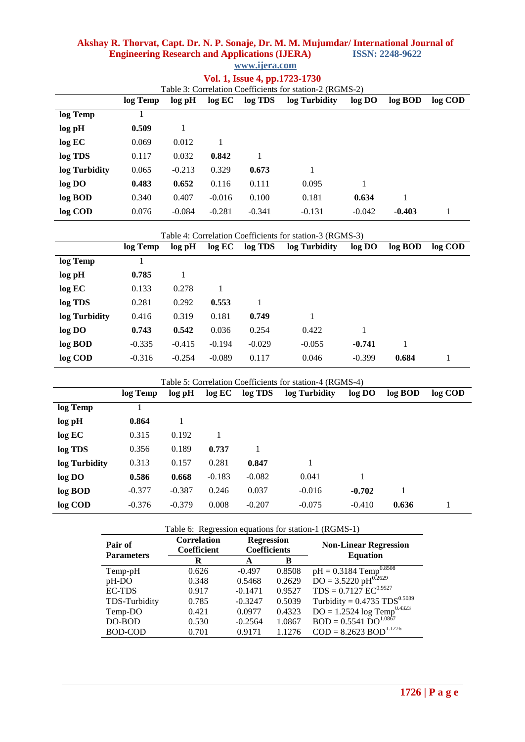# **Akshay R. Thorvat, Capt. Dr. N. P. Sonaje, Dr. M. M. Mujumdar/ International Journal of Engineering Research and Applications (IJERA) ISSN: 2248-9622**

|  | www.ijera.com |
|--|---------------|

|  |  |  | Vol. 1, Issue 4, pp.1723-1730 |
|--|--|--|-------------------------------|
|--|--|--|-------------------------------|

|               | Table 3: Correlation Coefficients for station-2 (RGMS-2) |          |          |          |               |          |          |         |
|---------------|----------------------------------------------------------|----------|----------|----------|---------------|----------|----------|---------|
|               | log Temp                                                 | log pH   | log EC   | log TDS  | log Turbidity | log DO   | log BOD  | log COD |
| log Temp      |                                                          |          |          |          |               |          |          |         |
| log pH        | 0.509                                                    |          |          |          |               |          |          |         |
| log EC        | 0.069                                                    | 0.012    |          |          |               |          |          |         |
| log TDS       | 0.117                                                    | 0.032    | 0.842    |          |               |          |          |         |
| log Turbidity | 0.065                                                    | $-0.213$ | 0.329    | 0.673    |               |          |          |         |
| log DO        | 0.483                                                    | 0.652    | 0.116    | 0.111    | 0.095         |          |          |         |
| log BOD       | 0.340                                                    | 0.407    | $-0.016$ | 0.100    | 0.181         | 0.634    |          |         |
| log COD       | 0.076                                                    | $-0.084$ | $-0.281$ | $-0.341$ | $-0.131$      | $-0.042$ | $-0.403$ |         |

| Table 4: Correlation Coefficients for station-3 (RGMS-3) |          |          |          |          |               |          |         |         |
|----------------------------------------------------------|----------|----------|----------|----------|---------------|----------|---------|---------|
|                                                          | log Temp | log pH   | log EC   | log TDS  | log Turbidity | log DO   | log BOD | log COD |
| log Temp                                                 |          |          |          |          |               |          |         |         |
| log pH                                                   | 0.785    |          |          |          |               |          |         |         |
| log EC                                                   | 0.133    | 0.278    |          |          |               |          |         |         |
| log TDS                                                  | 0.281    | 0.292    | 0.553    |          |               |          |         |         |
| log Turbidity                                            | 0.416    | 0.319    | 0.181    | 0.749    | 1             |          |         |         |
| log DO                                                   | 0.743    | 0.542    | 0.036    | 0.254    | 0.422         |          |         |         |
| log BOD                                                  | $-0.335$ | $-0.415$ | $-0.194$ | $-0.029$ | $-0.055$      | $-0.741$ |         |         |
| log COD                                                  | $-0.316$ | $-0.254$ | $-0.089$ | 0.117    | 0.046         | $-0.399$ | 0.684   |         |

| Table 5: Correlation Coefficients for station-4 (RGMS-4) |          |          |          |          |               |          |         |         |
|----------------------------------------------------------|----------|----------|----------|----------|---------------|----------|---------|---------|
|                                                          | log Temp | log pH   | log EC   | log TDS  | log Turbidity | log DO   | log BOD | log COD |
| log Temp                                                 |          |          |          |          |               |          |         |         |
| log pH                                                   | 0.864    |          |          |          |               |          |         |         |
| log EC                                                   | 0.315    | 0.192    |          |          |               |          |         |         |
| log TDS                                                  | 0.356    | 0.189    | 0.737    |          |               |          |         |         |
| log Turbidity                                            | 0.313    | 0.157    | 0.281    | 0.847    |               |          |         |         |
| log DO                                                   | 0.586    | 0.668    | $-0.183$ | $-0.082$ | 0.041         | 1        |         |         |
| log BOD                                                  | $-0.377$ | $-0.387$ | 0.246    | 0.037    | $-0.016$      | $-0.702$ |         |         |
| log COD                                                  | $-0.376$ | $-0.379$ | 0.008    | $-0.207$ | $-0.075$      | $-0.410$ | 0.636   |         |

| Table 6: Regression equations for station-1 (RGMS-1) |                                   |                                          |        |                                            |  |  |  |  |
|------------------------------------------------------|-----------------------------------|------------------------------------------|--------|--------------------------------------------|--|--|--|--|
| Pair of                                              | <b>Correlation</b><br>Coefficient | <b>Regression</b><br><b>Coefficients</b> |        | <b>Non-Linear Regression</b>               |  |  |  |  |
| <b>Parameters</b>                                    | R                                 | A                                        | в      | <b>Equation</b>                            |  |  |  |  |
| Temp-pH                                              | 0.626                             | $-0.497$                                 | 0.8508 | $pH = 0.3184$ Temp <sup>0.8508</sup>       |  |  |  |  |
| pH-DO                                                | 0.348                             | 0.5468                                   | 0.2629 | $DO = 3.5220 pH^{0.2629}$                  |  |  |  |  |
| <b>EC-TDS</b>                                        | 0.917                             | $-0.1471$                                | 0.9527 | $TDS = 0.7127 \text{ EC}^{0.9527}$         |  |  |  |  |
| TDS-Turbidity                                        | 0.785                             | $-0.3247$                                | 0.5039 | Turbidity = $0.4735$ TDS <sup>0.5039</sup> |  |  |  |  |
| Temp-DO                                              | 0.421                             | 0.0977                                   | 0.4323 | $DO = 1.2524 log Temp^{0.4323}$            |  |  |  |  |
| DO-BOD                                               | 0.530                             | $-0.2564$                                | 1.0867 | $BOD = 0.5541 DO^{1.0867}$                 |  |  |  |  |
| <b>BOD-COD</b>                                       | 0.701                             | 0.9171                                   | 1.1276 | $COD = 8.2623 BOD^{1.1276}$                |  |  |  |  |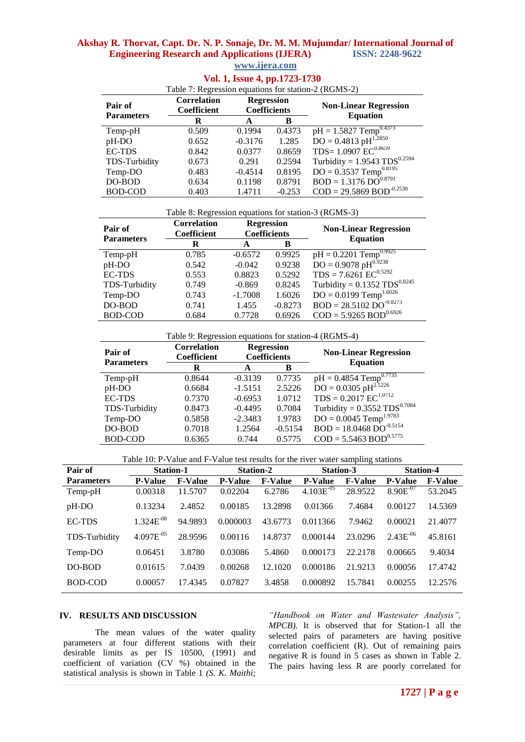# **Akshay R. Thorvat, Capt. Dr. N. P. Sonaje, Dr. M. M. Mujumdar/ International Journal of Engineering Research and Applications (IJERA) www.ijera.com**

| <b>VOL. 1, ISSUE 7, PP.1/40-1/50</b>                 |                                   |                                          |          |                                            |  |  |  |  |
|------------------------------------------------------|-----------------------------------|------------------------------------------|----------|--------------------------------------------|--|--|--|--|
| Table 7: Regression equations for station-2 (RGMS-2) |                                   |                                          |          |                                            |  |  |  |  |
| Pair of<br><b>Parameters</b>                         | <b>Correlation</b><br>Coefficient | <b>Regression</b><br><b>Coefficients</b> |          | <b>Non-Linear Regression</b>               |  |  |  |  |
|                                                      | R                                 | A                                        | в        | <b>Equation</b>                            |  |  |  |  |
| Temp-pH                                              | 0.509                             | 0.1994                                   | 0.4373   | $pH = 1.5827$ Temp <sup>0.4373</sup>       |  |  |  |  |
| pH-DO                                                | 0.652                             | $-0.3176$                                | 1.285    | $\rm{DO} = 0.4813 \; pH^{1.2850}$          |  |  |  |  |
| <b>EC-TDS</b>                                        | 0.842                             | 0.0377                                   | 0.8659   | TDS= $1.0907$ $EC^{0.8659}$                |  |  |  |  |
| TDS-Turbidity                                        | 0.673                             | 0.291                                    | 0.2594   | Turbidity = $1.9543$ TDS <sup>0.2594</sup> |  |  |  |  |
| Temp-DO                                              | 0.483                             | $-0.4514$                                | 0.8195   | $DO = 0.3537$ Temp <sup>0.8195</sup>       |  |  |  |  |
| DO-BOD                                               | 0.634                             | 0.1198                                   | 0.8791   | $BOD = 1.3176 \overline{DO}^{0.8791}$      |  |  |  |  |
| <b>BOD-COD</b>                                       | 0.403                             | 1.4711                                   | $-0.253$ | $COD = 29.5869 BOD^{-0.2530}$              |  |  |  |  |

# **Vol. 1, Issue 4, pp.1723-1730**

Table 8: Regression equations for station-3 (RGMS-3)

| Pair of<br><b>Parameters</b> | <b>Correlation</b><br>Coefficient | <b>Regression</b><br><b>Coefficients</b> |           | <b>Non-Linear Regression</b>               |
|------------------------------|-----------------------------------|------------------------------------------|-----------|--------------------------------------------|
|                              | R                                 | A                                        | B         | <b>Equation</b>                            |
| Temp-pH                      | 0.785                             | $-0.6572$                                | 0.9925    | $pH = 0.2201$ Temp <sup>0.9925</sup>       |
| pH-DO                        | 0.542                             | $-0.042$                                 | 0.9238    | $DO = 0.9078 pH^{0.9238}$                  |
| <b>EC-TDS</b>                | 0.553                             | 0.8823                                   | 0.5292    | $TDS = 7.6261 \text{ EC}^{0.5292}$         |
| TDS-Turbidity                | 0.749                             | $-0.869$                                 | 0.8245    | Turbidity = $0.1352$ TDS <sup>0.8245</sup> |
| Temp-DO                      | 0.743                             | $-1.7008$                                | 1.6026    | $DO = 0.0199$ Temp <sup>1.6026</sup>       |
| DO-BOD                       | 0.741                             | 1.455                                    | $-0.8273$ | $BOD = 28.5102 \overline{DO}^{0.8273}$     |
| <b>BOD-COD</b>               | 0.684                             | 0.7728                                   | 0.6926    | $COD = 5.9265 BOD^{0.6926}$                |

Table 9: Regression equations for station-4 (RGMS-4)

| Pair of<br><b>Parameters</b> | <b>Correlation</b><br><b>Coefficient</b> |           | <b>Regression</b><br><b>Coefficients</b> | <b>Non-Linear Regression</b><br><b>Equation</b> |
|------------------------------|------------------------------------------|-----------|------------------------------------------|-------------------------------------------------|
|                              | R                                        | A         | в                                        |                                                 |
| Temp-pH                      | 0.8644                                   | $-0.3139$ | 0.7735                                   | $pH = 0.4854$ Temp <sup>0.7735</sup>            |
| pH-DO                        | 0.6684                                   | $-1.5151$ | 2.5226                                   | $\text{DO} = 0.0305 \text{ pH}^{2.5226}$        |
| <b>EC-TDS</b>                | 0.7370                                   | $-0.6953$ | 1.0712                                   | $TDS = 0.2017$ $EC^{1.0712}$                    |
| TDS-Turbidity                | 0.8473                                   | $-0.4495$ | 0.7084                                   | Turbidity = $0.3552$ TDS <sup>0.7084</sup>      |
| Temp-DO                      | 0.5858                                   | $-2.3483$ | 1.9783                                   | $DO = 0.0045$ Temp <sup>1.9783</sup>            |
| DO-BOD                       | 0.7018                                   | 1.2564    | $-0.5154$                                | $BOD = 18.0468$ $DO^{-0.5154}$                  |
| <b>BOD-COD</b>               | 0.6365                                   | 0.744     | 0.5775                                   | $COD = 5.5463 BOD^{0.5775}$                     |

Table 10: P-Value and F-Value test results for the river water sampling stations

| Pair of           | <b>Station-1</b> |                | <b>Station-2</b> |                | <b>Station-3</b> |                | <b>Station-4</b> |                |
|-------------------|------------------|----------------|------------------|----------------|------------------|----------------|------------------|----------------|
| <b>Parameters</b> | <b>P-Value</b>   | <b>F-Value</b> | <b>P-Value</b>   | <b>F-Value</b> | <b>P-Value</b>   | <b>F-Value</b> | <b>P-Value</b>   | <b>F-Value</b> |
| Temp-pH           | 0.00318          | 11.5707        | 0.02204          | 6.2786         | $4.103E^{-05}$   | 28.9522        | $8.90E^{-07}$    | 53.2045        |
| pH-DO             | 0.13234          | 2.4852         | 0.00185          | 13.2898        | 0.01366          | 7.4684         | 0.00127          | 14.5369        |
| <b>EC-TDS</b>     | $1.324E^{-08}$   | 94.9893        | 0.000003         | 43.6773        | 0.011366         | 7.9462         | 0.00021          | 21.4077        |
| TDS-Turbidity     | $4.097E^{-05}$   | 28.9596        | 0.00116          | 14.8737        | 0.000144         | 23.0296        | $2.43E^{-06}$    | 45.8161        |
| Temp-DO           | 0.06451          | 3.8780         | 0.03086          | 5.4860         | 0.000173         | 22.2178        | 0.00665          | 9.4034         |
| DO-BOD            | 0.01615          | 7.0439         | 0.00268          | 12.1020        | 0.000186         | 21.9213        | 0.00056          | 17.4742        |
| BOD-COD           | 0.00057          | 17.4345        | 0.07827          | 3.4858         | 0.000892         | 15.7841        | 0.00255          | 12.2576        |

#### **IV. RESULTS AND DISCUSSION**

The mean values of the water quality parameters at four different stations with their desirable limits as per IS 10500, (1991) and coefficient of variation (CV %) obtained in the statistical analysis is shown in Table 1 *(S. K. Maithi;* 

*"Handbook on Water and Wastewater Analysis", MPCB).* It is observed that for Station-1 all the selected pairs of parameters are having positive correlation coefficient (R). Out of remaining pairs negative R is found in 5 cases as shown in Table 2. The pairs having less R are poorly correlated for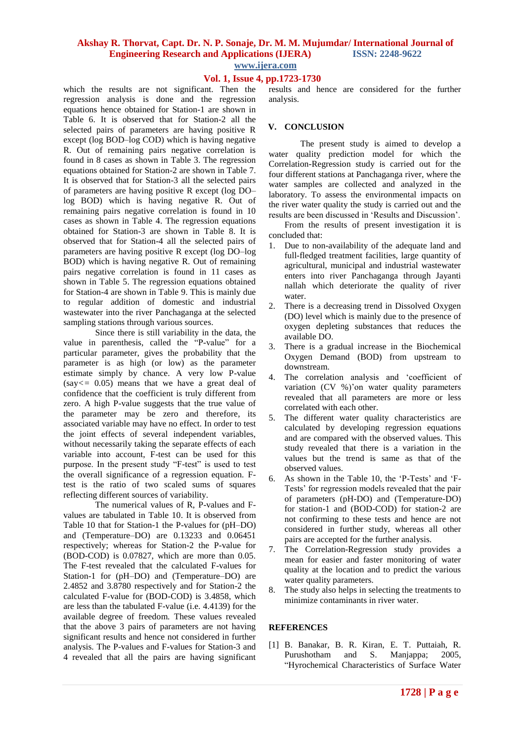# **Akshay R. Thorvat, Capt. Dr. N. P. Sonaje, Dr. M. M. Mujumdar/ International Journal of Engineering Research and Applications (IJERA) ISSN: 2248-9622**

**www.ijera.com**

## **Vol. 1, Issue 4, pp.1723-1730**

which the results are not significant. Then the regression analysis is done and the regression equations hence obtained for Station-1 are shown in Table 6. It is observed that for Station-2 all the selected pairs of parameters are having positive R except (log BOD–log COD) which is having negative R. Out of remaining pairs negative correlation is found in 8 cases as shown in Table 3. The regression equations obtained for Station-2 are shown in Table 7. It is observed that for Station-3 all the selected pairs of parameters are having positive R except (log DO– log BOD) which is having negative R. Out of remaining pairs negative correlation is found in 10 cases as shown in Table 4. The regression equations obtained for Station-3 are shown in Table 8. It is observed that for Station-4 all the selected pairs of parameters are having positive R except (log DO–log BOD) which is having negative R. Out of remaining pairs negative correlation is found in 11 cases as shown in Table 5. The regression equations obtained for Station-4 are shown in Table 9. This is mainly due to regular addition of domestic and industrial wastewater into the river Panchaganga at the selected sampling stations through various sources.

Since there is still variability in the data, the value in parenthesis, called the "P-value" for a particular parameter, gives the probability that the parameter is as high (or low) as the parameter estimate simply by chance. A very low P-value (say*<=* 0*.*05) means that we have a great deal of confidence that the coefficient is truly different from zero. A high P-value suggests that the true value of the parameter may be zero and therefore, its associated variable may have no effect. In order to test the joint effects of several independent variables, without necessarily taking the separate effects of each variable into account, F-test can be used for this purpose. In the present study "F-test" is used to test the overall significance of a regression equation. Ftest is the ratio of two scaled sums of squares reflecting different sources of variability.

The numerical values of R, P-values and Fvalues are tabulated in Table 10. It is observed from Table 10 that for Station-1 the P-values for (pH–DO) and (Temperature–DO) are 0.13233 and 0.06451 respectively; whereas for Station-2 the P-value for (BOD-COD) is 0.07827, which are more than 0.05. The F-test revealed that the calculated F-values for Station-1 for (pH–DO) and (Temperature–DO) are 2.4852 and 3.8780 respectively and for Station-2 the calculated F-value for (BOD-COD) is 3.4858, which are less than the tabulated F-value (i.e. 4.4139) for the available degree of freedom. These values revealed that the above 3 pairs of parameters are not having significant results and hence not considered in further analysis. The P-values and F-values for Station-3 and 4 revealed that all the pairs are having significant

results and hence are considered for the further analysis.

#### **V. CONCLUSION**

The present study is aimed to develop a water quality prediction model for which the Correlation-Regression study is carried out for the four different stations at Panchaganga river, where the water samples are collected and analyzed in the laboratory. To assess the environmental impacts on the river water quality the study is carried out and the results are been discussed in "Results and Discussion".

From the results of present investigation it is concluded that:

- 1. Due to non-availability of the adequate land and full-fledged treatment facilities, large quantity of agricultural, municipal and industrial wastewater enters into river Panchaganga through Jayanti nallah which deteriorate the quality of river water.
- 2. There is a decreasing trend in Dissolved Oxygen (DO) level which is mainly due to the presence of oxygen depleting substances that reduces the available DO.
- 3. There is a gradual increase in the Biochemical Oxygen Demand (BOD) from upstream to downstream.
- 4. The correlation analysis and "coefficient of variation (CV %)'on water quality parameters revealed that all parameters are more or less correlated with each other.
- 5. The different water quality characteristics are calculated by developing regression equations and are compared with the observed values. This study revealed that there is a variation in the values but the trend is same as that of the observed values.
- 6. As shown in the Table 10, the "P-Tests" and "F-Tests" for regression models revealed that the pair of parameters (pH-DO) and (Temperature-DO) for station-1 and (BOD-COD) for station-2 are not confirming to these tests and hence are not considered in further study, whereas all other pairs are accepted for the further analysis.
- 7. The Correlation-Regression study provides a mean for easier and faster monitoring of water quality at the location and to predict the various water quality parameters.
- 8. The study also helps in selecting the treatments to minimize contaminants in river water.

### **REFERENCES**

[1] B. Banakar, B. R. Kiran, E. T. Puttaiah, R. Purushotham and S. Manjappa; 2005, "Hyrochemical Characteristics of Surface Water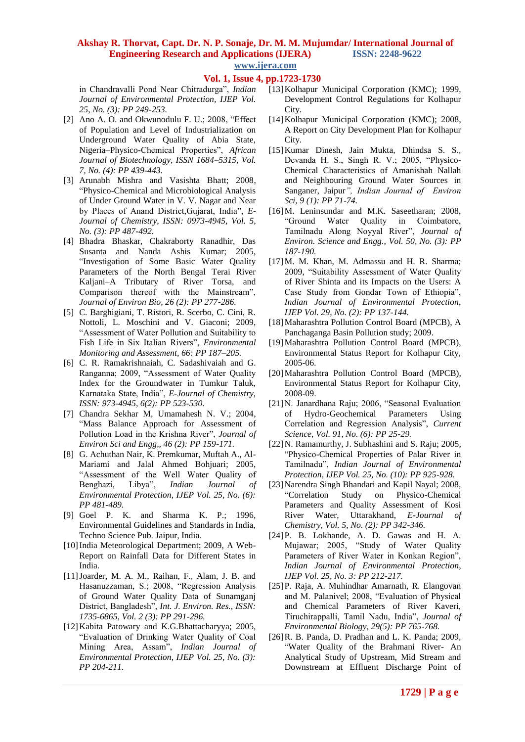### **Akshay R. Thorvat, Capt. Dr. N. P. Sonaje, Dr. M. M. Mujumdar/ International Journal of Engineering Research and Applications (IJERA) ISSN: 2248-9622 www.ijera.com**

**Vol. 1, Issue 4, pp.1723-1730**

in Chandravalli Pond Near Chitradurga", *Indian Journal of Environmental Protection, IJEP Vol. 25, No. (3): PP 249-253.*

- [2] Ano A. O. and Okwunodulu F. U.; 2008, "Effect of Population and Level of Industrialization on Underground Water Quality of Abia State, Nigeria–Physico-Chemical Properties", *African Journal of Biotechnology, ISSN 1684–5315, Vol. 7, No. (4): PP 439-443.*
- [3] Arunabh Mishra and Vasishta Bhatt; 2008, "Physico-Chemical and Microbiological Analysis of Under Ground Water in V. V. Nagar and Near by Places of Anand District,Gujarat, India", *E-Journal of Chemistry, ISSN: 0973-4945, Vol. 5, No. (3): PP 487-492.*
- [4] Bhadra Bhaskar, Chakraborty Ranadhir, Das Susanta and Nanda Ashis Kumar; 2005, "Investigation of Some Basic Water Quality Parameters of the North Bengal Terai River Kaljani–A Tributary of River Torsa, and Comparison thereof with the Mainstream", *Journal of Environ Bio, 26 (2): PP 277-286.*
- [5] C. Barghigiani, T. Ristori, R. Scerbo, C. Cini, R. Nottoli, L. Moschini and V. Giaconi; 2009, "Assessment of Water Pollution and Suitability to Fish Life in Six Italian Rivers", *Environmental Monitoring and Assessment, 66: PP 187–205.*
- [6] C. R. Ramakrishnaiah, C. Sadashivaiah and G. Ranganna; 2009, "Assessment of Water Quality Index for the Groundwater in Tumkur Taluk, Karnataka State, India", *E-Journal of Chemistry, ISSN: 973-4945, 6(2): PP 523-530.*
- [7] Chandra Sekhar M, Umamahesh N. V.; 2004, "Mass Balance Approach for Assessment of Pollution Load in the Krishna River", *Journal of Environ Sci and Engg,, 46 (2): PP 159-171.*
- [8] G. Achuthan Nair, K. Premkumar, Muftah A., Al-Mariami and Jalal Ahmed Bohjuari; 2005, "Assessment of the Well Water Quality of Benghazi, Libya", *Indian Journal of Environmental Protection, IJEP Vol. 25, No. (6): PP 481-489.*
- [9] Goel P. K. and Sharma K. P.; 1996, Environmental Guidelines and Standards in India, Techno Science Pub. Jaipur, India.
- [10] India Meteorological Department; 2009, A Web-Report on Rainfall Data for Different States in India.
- [11]Joarder, M. A. M., Raihan, F., Alam, J. B. and Hasanuzzaman, S.; 2008, "Regression Analysis of Ground Water Quality Data of Sunamganj District, Bangladesh", *Int. J. Environ. Res., ISSN: 1735-6865, Vol. 2 (3): PP 291-296.*
- [12]Kabita Patowary and K.G.Bhattacharyya; 2005, "Evaluation of Drinking Water Quality of Coal Mining Area, Assam", *Indian Journal of Environmental Protection, IJEP Vol. 25, No. (3): PP 204-211.*
- [13]Kolhapur Municipal Corporation (KMC); 1999, Development Control Regulations for Kolhapur City.
- [14]Kolhapur Municipal Corporation (KMC); 2008, A Report on City Development Plan for Kolhapur City.
- [15]Kumar Dinesh, Jain Mukta, Dhindsa S. S., Devanda H. S., Singh R. V.; 2005, "Physico-Chemical Characteristics of Amanishah Nallah and Neighbouring Ground Water Sources in Sanganer, Jaipur*", Indian Journal of Environ Sci, 9 (1): PP 71-74.*
- [16]M. Leninsundar and M.K. Saseetharan; 2008, "Ground Water Quality in Coimbatore, Tamilnadu Along Noyyal River", *Journal of Environ. Science and Engg., Vol. 50, No. (3): PP 187-190.*
- [17] M. M. Khan, M. Admassu and H. R. Sharma; 2009, "Suitability Assessment of Water Quality of River Shinta and its Impacts on the Users: A Case Study from Gondar Town of Ethiopia", *Indian Journal of Environmental Protection, IJEP Vol. 29, No. (2): PP 137-144.*
- [18]Maharashtra Pollution Control Board (MPCB), A Panchaganga Basin Pollution study; 2009.
- [19]Maharashtra Pollution Control Board (MPCB), Environmental Status Report for Kolhapur City, 2005-06.
- [20]Maharashtra Pollution Control Board (MPCB), Environmental Status Report for Kolhapur City, 2008-09.
- [21]N. Janardhana Raju; 2006, "Seasonal Evaluation of Hydro-Geochemical Parameters Using Correlation and Regression Analysis", *Current Science, Vol. 91, No. (6): PP 25-29.*
- [22]N. Ramamurthy, J. Subhashini and S. Raju; 2005, "Physico-Chemical Properties of Palar River in Tamilnadu", *Indian Journal of Environmental Protection, IJEP Vol. 25, No. (10): PP 925-928.*
- [23]Narendra Singh Bhandari and Kapil Nayal; 2008, "Correlation Study on Physico-Chemical Parameters and Quality Assessment of Kosi River Water, Uttarakhand, *E-Journal of Chemistry, Vol. 5, No. (2): PP 342-346.*
- [24]P. B. Lokhande, A. D. Gawas and H. A. Mujawar; 2005, "Study of Water Quality Parameters of River Water in Konkan Region", *Indian Journal of Environmental Protection, IJEP Vol. 25, No. 3: PP 212-217.*
- [25]P. Raja, A. Muhindhar Amarnath, R. Elangovan and M. Palanivel; 2008, "Evaluation of Physical and Chemical Parameters of River Kaveri, Tiruchirappalli, Tamil Nadu, India", *Journal of Environmental Biology, 29(5): PP 765-768.*
- [26]R. B. Panda, D. Pradhan and L. K. Panda; 2009, "Water Quality of the Brahmani River- An Analytical Study of Upstream, Mid Stream and Downstream at Effluent Discharge Point of